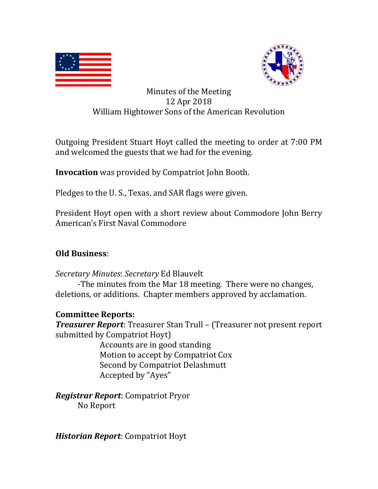



## Minutes of the Meeting 12 Apr 2018 William Hightower Sons of the American Revolution

Outgoing President Stuart Hoyt called the meeting to order at 7:00 PM and welcomed the guests that we had for the evening.

**Invocation** was provided by Compatriot John Booth.

Pledges to the U. S., Texas, and SAR flags were given.

President Hoyt open with a short review about Commodore John Berry American's First Naval Commodore

# **Old Business**:

*Secretary Minutes*: *Secretary* Ed Blauvelt

-The minutes from the Mar 18 meeting. There were no changes, deletions, or additions. Chapter members approved by acclamation.

## **Committee Reports:**

*Treasurer Report*: Treasurer Stan Trull – (Treasurer not present report submitted by Compatriot Hoyt)

> Accounts are in good standing Motion to accept by Compatriot Cox Second by Compatriot Delashmutt Accepted by "Ayes"

*Registrar Report*: Compatriot Pryor No Report

*Historian Report*: Compatriot Hoyt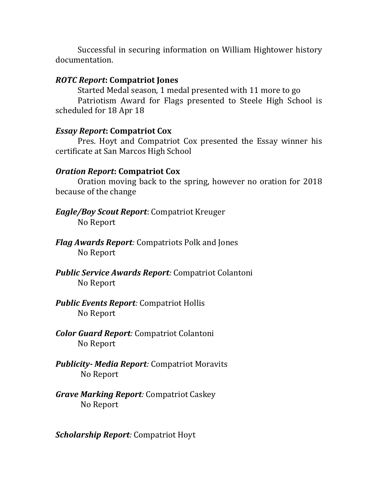Successful in securing information on William Hightower history documentation.

### *ROTC Report***: Compatriot Jones**

 Started Medal season, 1 medal presented with 11 more to go Patriotism Award for Flags presented to Steele High School is scheduled for 18 Apr 18

### *Essay Report***: Compatriot Cox**

Pres. Hoyt and Compatriot Cox presented the Essay winner his certificate at San Marcos High School

### *Oration Report***: Compatriot Cox**

 Oration moving back to the spring, however no oration for 2018 because of the change

- *Eagle/Boy Scout Report*: Compatriot Kreuger No Report
- *Flag Awards Report:* Compatriots Polk and Jones No Report
- *Public Service Awards Report:* Compatriot Colantoni No Report
- *Public Events Report:* Compatriot Hollis No Report
- *Color Guard Report:* Compatriot Colantoni No Report
- *Publicity- Media Report:* Compatriot Moravits No Report
- *Grave Marking Report:* Compatriot Caskey No Report

*Scholarship Report:* Compatriot Hoyt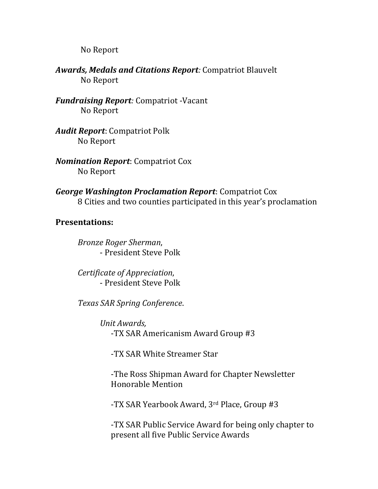No Report

*Awards, Medals and Citations Report:* Compatriot Blauvelt No Report

*Fundraising Report:* Compatriot -Vacant No Report

*Audit Report*: Compatriot Polk No Report

*Nomination Report*: Compatriot Cox No Report

*George Washington Proclamation Report*: Compatriot Cox 8 Cities and two counties participated in this year's proclamation

### **Presentations:**

*Bronze Roger Sherman*, - President Steve Polk

*Certificate of Appreciation*, - President Steve Polk

*Texas SAR Spring Conference*.

*Unit Awards,*  -TX SAR Americanism Award Group #3

-TX SAR White Streamer Star

-The Ross Shipman Award for Chapter Newsletter Honorable Mention

-TX SAR Yearbook Award, 3rd Place, Group #3

-TX SAR Public Service Award for being only chapter to present all five Public Service Awards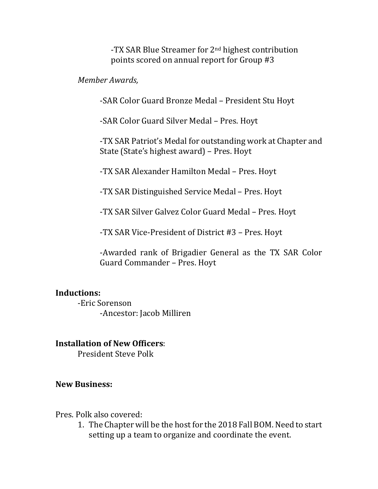-TX SAR Blue Streamer for 2nd highest contribution points scored on annual report for Group #3

#### *Member Awards,*

-SAR Color Guard Bronze Medal – President Stu Hoyt

-SAR Color Guard Silver Medal – Pres. Hoyt

-TX SAR Patriot's Medal for outstanding work at Chapter and State (State's highest award) – Pres. Hoyt

-TX SAR Alexander Hamilton Medal – Pres. Hoyt

-TX SAR Distinguished Service Medal – Pres. Hoyt

-TX SAR Silver Galvez Color Guard Medal – Pres. Hoyt

-TX SAR Vice-President of District #3 – Pres. Hoyt

-Awarded rank of Brigadier General as the TX SAR Color Guard Commander – Pres. Hoyt

### **Inductions:**

 -Eric Sorenson -Ancestor: Jacob Milliren

#### **Installation of New Officers**:

President Steve Polk

#### **New Business:**

Pres. Polk also covered:

1. The Chapter will be the host for the 2018 Fall BOM. Need to start setting up a team to organize and coordinate the event.